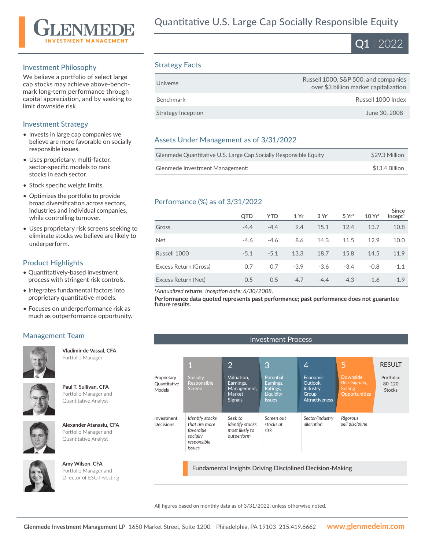

### Investment Philosophy

We believe a portfolio of select large cap stocks may achieve above-benchmark long-term performance through capital appreciation, and by seeking to limit downside risk.

# Investment Strategy

- Invests in large cap companies we believe are more favorable on socially responsible issues.
- Uses proprietary, multi-factor, sector-specific models to rank stocks in each sector.
- Stock specific weight limits.
- Optimizes the portfolio to provide broad diversification across sectors, industries and individual companies, while controlling turnover.
- Uses proprietary risk screens seeking to eliminate stocks we believe are likely to underperform.

# Product Highlights

- Quantitatively-based investment process with stringent risk controls.
- Integrates fundamental factors into proprietary quantitative models.
- Focuses on underperformance risk as much as outperformance opportunity.

# Management Team **Investment Process**



**Vladimir de Vassal, CFA**  Portfolio Manager



**Paul T. Sullivan, CFA**  Portfolio Manager and Quantitative Analyst



**Alexander Atanasiu, CFA**  Portfolio Manager and Quantitative Analyst



**Amy Wilson, CFA**  Portfolio Manager and Director of ESG Investing



# Strategy Facts

| Universe           | Russell 1000, S&P 500, and companies<br>over \$3 billion market capitalization |
|--------------------|--------------------------------------------------------------------------------|
| Benchmark          | Russell 1000 Index                                                             |
| Strategy Inception | June 30, 2008                                                                  |

# Assets Under Management as of 3/31/2022

| Glenmede Quantitative U.S. Large Cap Socially Responsible Equity | \$29.3 Million |
|------------------------------------------------------------------|----------------|
| Glenmede Investment Management:                                  | \$13.4 Billion |

# Performance (%) as of 3/31/2022

|                       | <b>OTD</b> | <b>YTD</b> | 1 Yr   | 3Yr <sup>1</sup> | 5 Yr <sup>1</sup> | 10 Yr <sup>1</sup> | <b>Since</b><br>Incept <sup>1</sup> |
|-----------------------|------------|------------|--------|------------------|-------------------|--------------------|-------------------------------------|
| Gross                 | $-4.4$     | $-4.4$     | 9.4    | 15.1             | 12.4              | 13.7               | 10.8                                |
| <b>Net</b>            | $-4.6$     | $-4.6$     | 8.6    | 14.3             | 11.5              | 12.9               | 10.0                                |
| Russell 1000          | $-5.1$     | $-5.1$     | 13.3   | 18.7             | 15.8              | 14.5               | 11.9                                |
| Excess Return (Gross) | 0.7        | 0.7        | $-3.9$ | $-3.6$           | $-3.4$            | $-0.8$             | $-1.1$                              |
| Excess Return (Net)   | 0.5        | 0.5        | $-4.7$ | $-4.4$           | $-4.3$            | $-1.6$             | $-1.9$                              |

*<sup>1</sup>Annualized returns. Inception date: 6/30/2008.*

**Performance data quoted represents past performance; past performance does not guarantee future results.**

|                                       |                                                                                    | 2                                                                         | 3                                                                | 4                                                                  | 5                                                                          | <b>RESULT</b>                         |
|---------------------------------------|------------------------------------------------------------------------------------|---------------------------------------------------------------------------|------------------------------------------------------------------|--------------------------------------------------------------------|----------------------------------------------------------------------------|---------------------------------------|
| Proprietary<br>Quantitative<br>Models | Socially<br>Responsible<br><b>Screen</b>                                           | Valuation,<br>Earnings,<br>Management,<br><b>Market</b><br><b>Signals</b> | Potential<br>Earnings,<br>Ratings,<br>Liquidity<br><b>Issues</b> | Economic<br>Outlook.<br>Industry<br>Group<br><b>Attractiveness</b> | <b>Downside</b><br><b>Risk Signals,</b><br>Selling<br><b>Opportunities</b> | Portfolio:<br>80-120<br><b>Stocks</b> |
| Investment<br>Decisions               | Identify stocks<br>that are more<br>favorable<br>socially<br>responsible<br>issues | Seek to<br><i>identify stocks</i><br>most likely to<br>outperform         | Screen out<br>stocks at<br>risk                                  | Sector/industry<br>allocation                                      | Rigorous<br>sell discipline                                                |                                       |

Fundamental Insights Driving Disciplined Decision-Making

All figures based on monthly data as of 3/31/2022, unless otherwise noted.